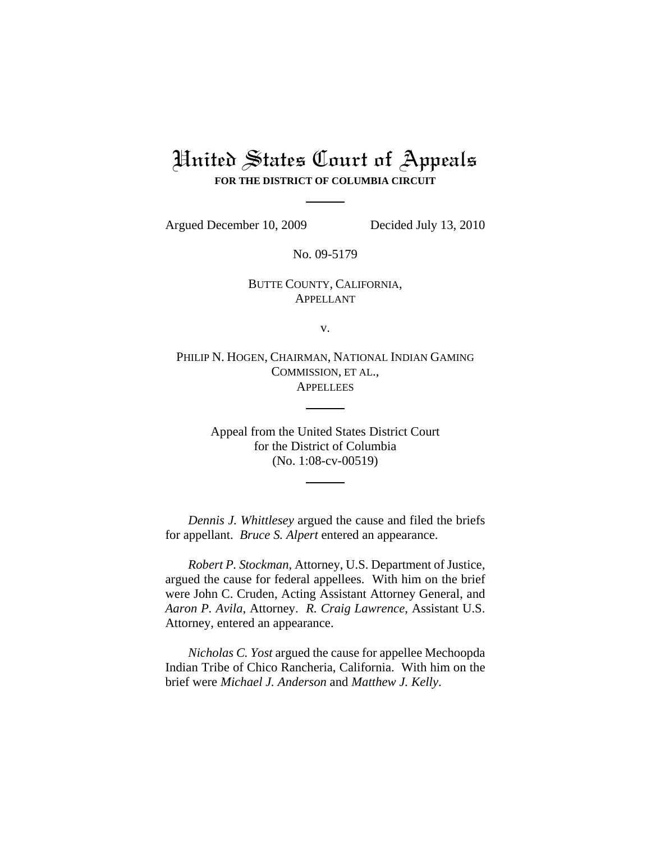## United States Court of Appeals **FOR THE DISTRICT OF COLUMBIA CIRCUIT**

Argued December 10, 2009 Decided July 13, 2010

No. 09-5179

BUTTE COUNTY, CALIFORNIA, APPELLANT

v.

PHILIP N. HOGEN, CHAIRMAN, NATIONAL INDIAN GAMING COMMISSION, ET AL., **APPELLEES** 

> Appeal from the United States District Court for the District of Columbia (No. 1:08-cv-00519)

*Dennis J. Whittlesey* argued the cause and filed the briefs for appellant. *Bruce S. Alpert* entered an appearance.

*Robert P. Stockman*, Attorney, U.S. Department of Justice, argued the cause for federal appellees. With him on the brief were John C. Cruden, Acting Assistant Attorney General, and *Aaron P. Avila*, Attorney. *R. Craig Lawrence*, Assistant U.S. Attorney, entered an appearance.

*Nicholas C. Yost* argued the cause for appellee Mechoopda Indian Tribe of Chico Rancheria, California. With him on the brief were *Michael J. Anderson* and *Matthew J. Kelly*.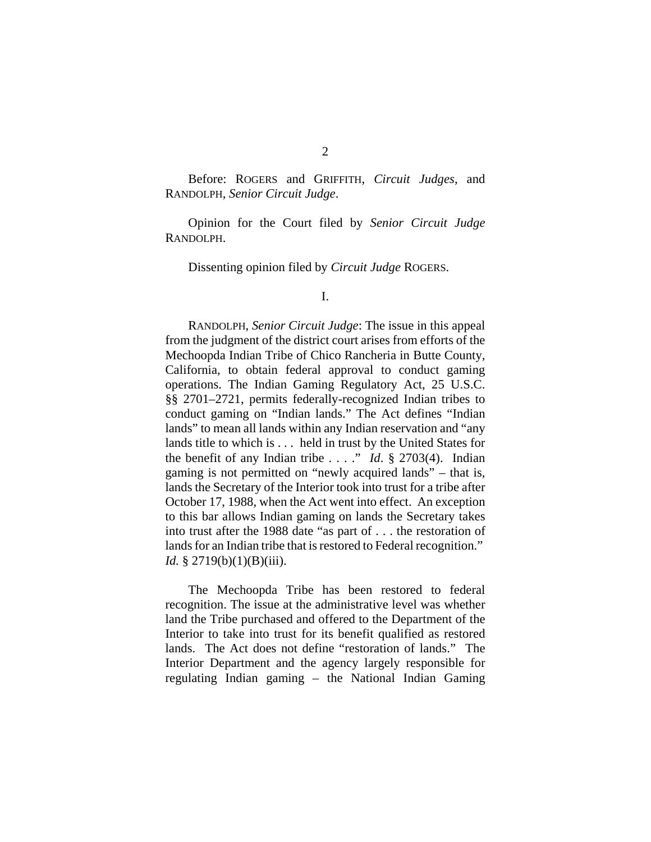Before: ROGERS and GRIFFITH, *Circuit Judges*, and RANDOLPH, *Senior Circuit Judge*.

Opinion for the Court filed by *Senior Circuit Judge* RANDOLPH.

Dissenting opinion filed by *Circuit Judge* ROGERS.

I.

RANDOLPH, *Senior Circuit Judge*: The issue in this appeal from the judgment of the district court arises from efforts of the Mechoopda Indian Tribe of Chico Rancheria in Butte County, California, to obtain federal approval to conduct gaming operations. The Indian Gaming Regulatory Act, 25 U.S.C. §§ 2701–2721, permits federally-recognized Indian tribes to conduct gaming on "Indian lands." The Act defines "Indian lands" to mean all lands within any Indian reservation and "any lands title to which is . . . held in trust by the United States for the benefit of any Indian tribe  $\ldots$  ." *Id.* § 2703(4). Indian gaming is not permitted on "newly acquired lands" – that is, lands the Secretary of the Interior took into trust for a tribe after October 17, 1988, when the Act went into effect. An exception to this bar allows Indian gaming on lands the Secretary takes into trust after the 1988 date "as part of . . . the restoration of lands for an Indian tribe that is restored to Federal recognition." *Id.* § 2719(b)(1)(B)(iii).

The Mechoopda Tribe has been restored to federal recognition. The issue at the administrative level was whether land the Tribe purchased and offered to the Department of the Interior to take into trust for its benefit qualified as restored lands. The Act does not define "restoration of lands." The Interior Department and the agency largely responsible for regulating Indian gaming – the National Indian Gaming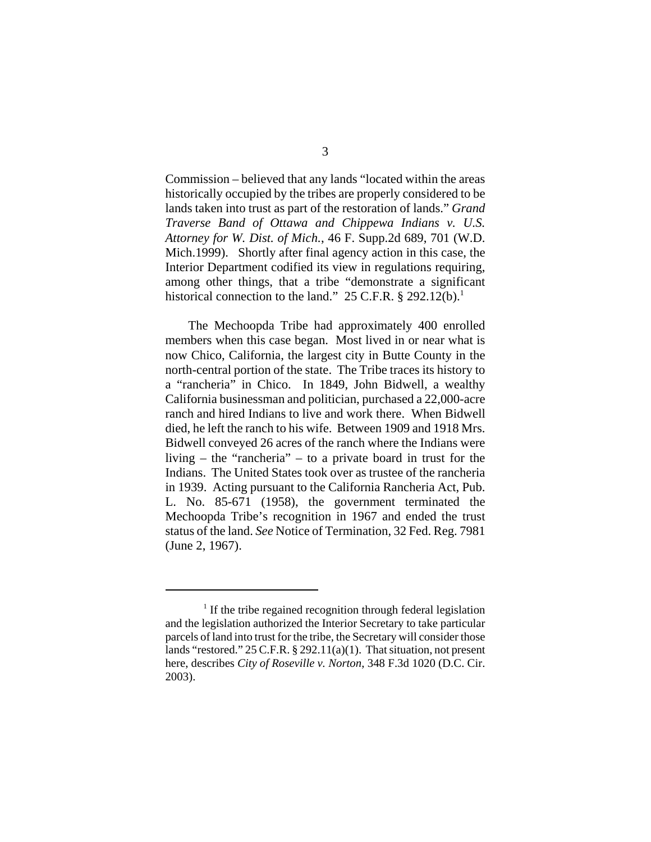Commission – believed that any lands "located within the areas historically occupied by the tribes are properly considered to be lands taken into trust as part of the restoration of lands." *Grand Traverse Band of Ottawa and Chippewa Indians v. U.S. Attorney for W. Dist. of Mich.*, 46 F. Supp.2d 689, 701 (W.D. Mich.1999). Shortly after final agency action in this case, the Interior Department codified its view in regulations requiring, among other things, that a tribe "demonstrate a significant historical connection to the land." 25 C.F.R.  $\S$  292.12(b).<sup>1</sup>

The Mechoopda Tribe had approximately 400 enrolled members when this case began. Most lived in or near what is now Chico, California, the largest city in Butte County in the north-central portion of the state. The Tribe traces its history to a "rancheria" in Chico. In 1849, John Bidwell, a wealthy California businessman and politician, purchased a 22,000-acre ranch and hired Indians to live and work there. When Bidwell died, he left the ranch to his wife. Between 1909 and 1918 Mrs. Bidwell conveyed 26 acres of the ranch where the Indians were living – the "rancheria" – to a private board in trust for the Indians. The United States took over as trustee of the rancheria in 1939. Acting pursuant to the California Rancheria Act, Pub. L. No. 85-671 (1958), the government terminated the Mechoopda Tribe's recognition in 1967 and ended the trust status of the land. *See* Notice of Termination, 32 Fed. Reg. 7981 (June 2, 1967).

<sup>&</sup>lt;sup>1</sup> If the tribe regained recognition through federal legislation and the legislation authorized the Interior Secretary to take particular parcels of land into trust for the tribe, the Secretary will consider those lands "restored." 25 C.F.R. § 292.11(a)(1). That situation, not present here, describes *City of Roseville v. Norton*, 348 F.3d 1020 (D.C. Cir. 2003).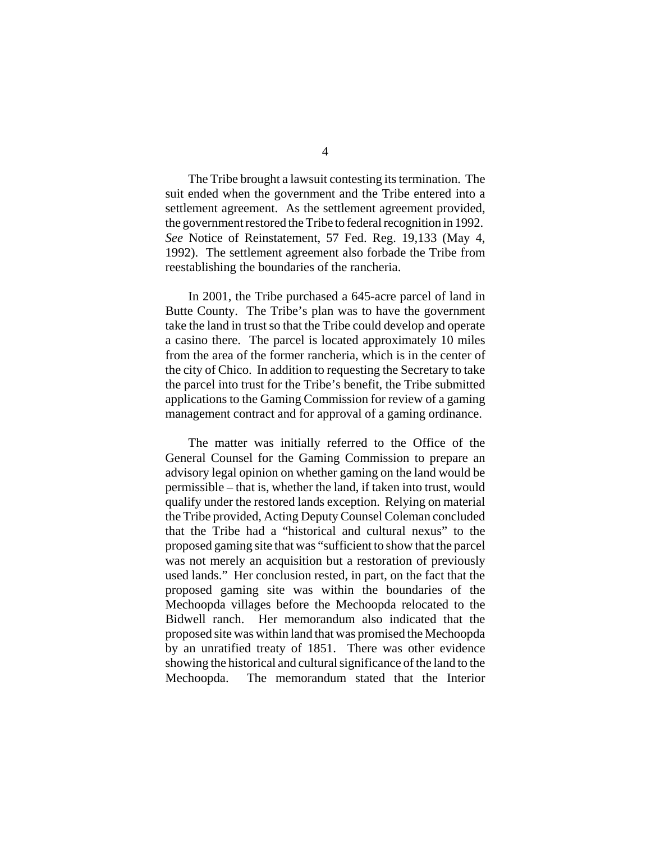The Tribe brought a lawsuit contesting its termination. The suit ended when the government and the Tribe entered into a settlement agreement. As the settlement agreement provided, the government restored the Tribe to federal recognition in 1992. *See* Notice of Reinstatement, 57 Fed. Reg. 19,133 (May 4, 1992). The settlement agreement also forbade the Tribe from reestablishing the boundaries of the rancheria.

In 2001, the Tribe purchased a 645-acre parcel of land in Butte County. The Tribe's plan was to have the government take the land in trust so that the Tribe could develop and operate a casino there. The parcel is located approximately 10 miles from the area of the former rancheria, which is in the center of the city of Chico. In addition to requesting the Secretary to take the parcel into trust for the Tribe's benefit, the Tribe submitted applications to the Gaming Commission for review of a gaming management contract and for approval of a gaming ordinance.

The matter was initially referred to the Office of the General Counsel for the Gaming Commission to prepare an advisory legal opinion on whether gaming on the land would be permissible – that is, whether the land, if taken into trust, would qualify under the restored lands exception. Relying on material the Tribe provided, Acting Deputy Counsel Coleman concluded that the Tribe had a "historical and cultural nexus" to the proposed gaming site that was "sufficient to show that the parcel was not merely an acquisition but a restoration of previously used lands." Her conclusion rested, in part, on the fact that the proposed gaming site was within the boundaries of the Mechoopda villages before the Mechoopda relocated to the Bidwell ranch. Her memorandum also indicated that the proposed site was within land that was promised the Mechoopda by an unratified treaty of 1851. There was other evidence showing the historical and cultural significance of the land to the Mechoopda. The memorandum stated that the Interior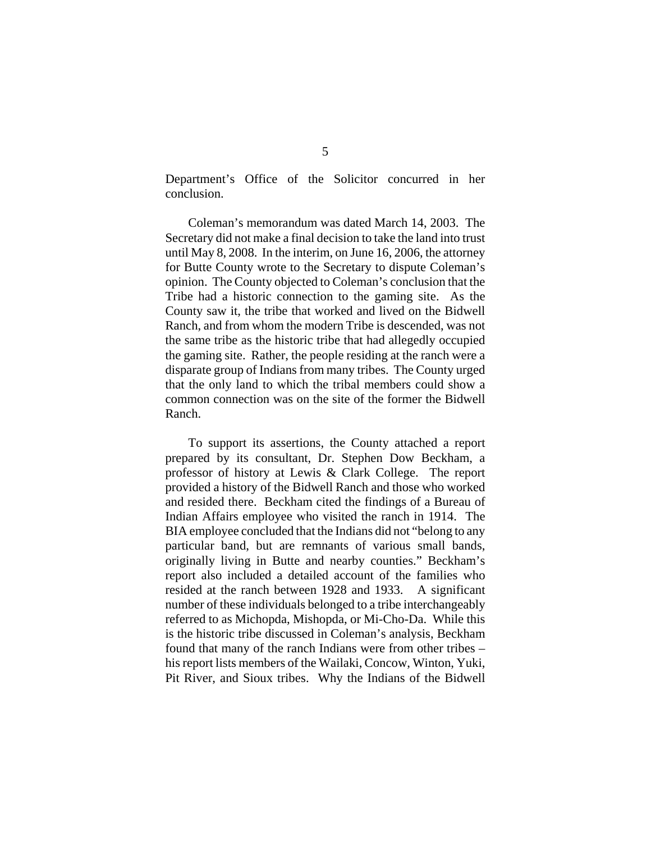Department's Office of the Solicitor concurred in her conclusion.

Coleman's memorandum was dated March 14, 2003. The Secretary did not make a final decision to take the land into trust until May 8, 2008. In the interim, on June 16, 2006, the attorney for Butte County wrote to the Secretary to dispute Coleman's opinion. The County objected to Coleman's conclusion that the Tribe had a historic connection to the gaming site. As the County saw it, the tribe that worked and lived on the Bidwell Ranch, and from whom the modern Tribe is descended, was not the same tribe as the historic tribe that had allegedly occupied the gaming site. Rather, the people residing at the ranch were a disparate group of Indians from many tribes. The County urged that the only land to which the tribal members could show a common connection was on the site of the former the Bidwell Ranch.

To support its assertions, the County attached a report prepared by its consultant, Dr. Stephen Dow Beckham, a professor of history at Lewis & Clark College. The report provided a history of the Bidwell Ranch and those who worked and resided there. Beckham cited the findings of a Bureau of Indian Affairs employee who visited the ranch in 1914. The BIA employee concluded that the Indians did not "belong to any particular band, but are remnants of various small bands, originally living in Butte and nearby counties." Beckham's report also included a detailed account of the families who resided at the ranch between 1928 and 1933. A significant number of these individuals belonged to a tribe interchangeably referred to as Michopda, Mishopda, or Mi-Cho-Da. While this is the historic tribe discussed in Coleman's analysis, Beckham found that many of the ranch Indians were from other tribes – his report lists members of the Wailaki, Concow, Winton, Yuki, Pit River, and Sioux tribes. Why the Indians of the Bidwell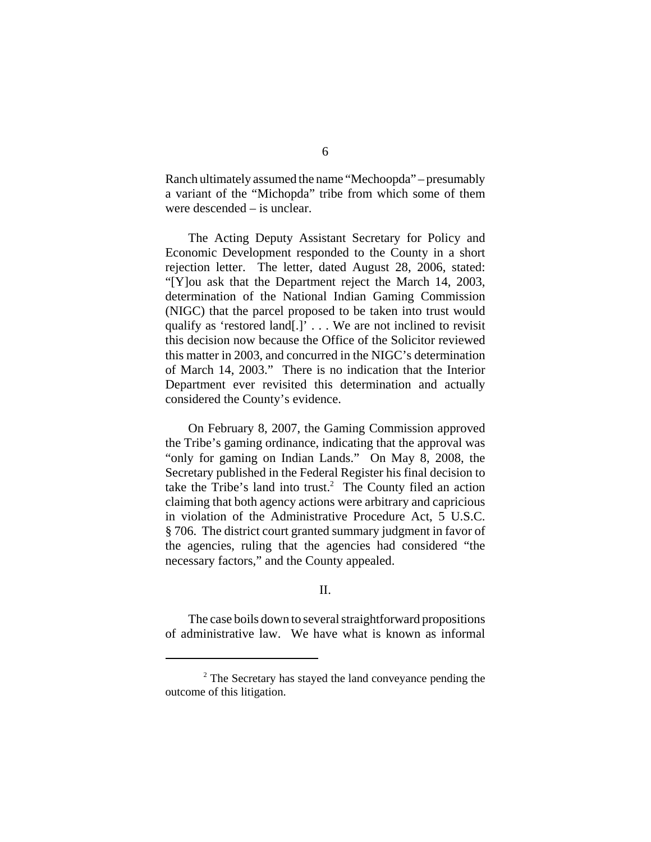Ranch ultimately assumed the name "Mechoopda" – presumably a variant of the "Michopda" tribe from which some of them were descended – is unclear.

The Acting Deputy Assistant Secretary for Policy and Economic Development responded to the County in a short rejection letter. The letter, dated August 28, 2006, stated: "[Y]ou ask that the Department reject the March 14, 2003, determination of the National Indian Gaming Commission (NIGC) that the parcel proposed to be taken into trust would qualify as 'restored land[.]' . . . We are not inclined to revisit this decision now because the Office of the Solicitor reviewed this matter in 2003, and concurred in the NIGC's determination of March 14, 2003." There is no indication that the Interior Department ever revisited this determination and actually considered the County's evidence.

On February 8, 2007, the Gaming Commission approved the Tribe's gaming ordinance, indicating that the approval was "only for gaming on Indian Lands." On May 8, 2008, the Secretary published in the Federal Register his final decision to take the Tribe's land into trust.<sup>2</sup> The County filed an action claiming that both agency actions were arbitrary and capricious in violation of the Administrative Procedure Act, 5 U.S.C. § 706. The district court granted summary judgment in favor of the agencies, ruling that the agencies had considered "the necessary factors," and the County appealed.

## II.

The case boils down to several straightforward propositions of administrative law. We have what is known as informal

<sup>&</sup>lt;sup>2</sup> The Secretary has stayed the land conveyance pending the outcome of this litigation.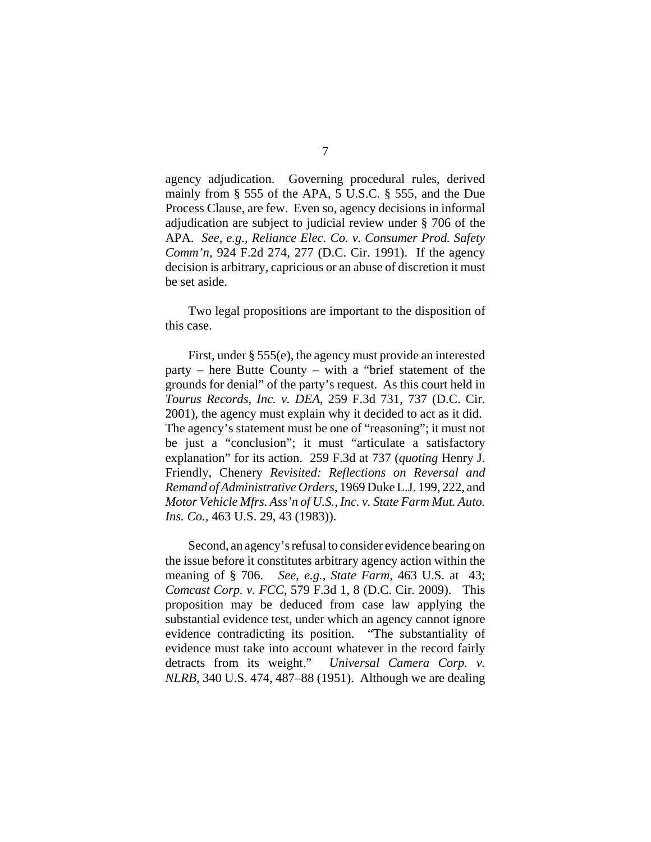agency adjudication. Governing procedural rules, derived mainly from § 555 of the APA, 5 U.S.C. § 555, and the Due Process Clause, are few. Even so, agency decisions in informal adjudication are subject to judicial review under § 706 of the APA. *See, e.g., Reliance Elec. Co. v. Consumer Prod. Safety Comm'n*, 924 F.2d 274, 277 (D.C. Cir. 1991). If the agency decision is arbitrary, capricious or an abuse of discretion it must be set aside.

Two legal propositions are important to the disposition of this case.

First, under § 555(e), the agency must provide an interested party – here Butte County – with a "brief statement of the grounds for denial" of the party's request. As this court held in *Tourus Records, Inc. v. DEA*, 259 F.3d 731, 737 (D.C. Cir. 2001), the agency must explain why it decided to act as it did. The agency's statement must be one of "reasoning"; it must not be just a "conclusion"; it must "articulate a satisfactory explanation" for its action. 259 F.3d at 737 (*quoting* Henry J. Friendly, Chenery *Revisited: Reflections on Reversal and Remand of Administrative Orders*, 1969 Duke L.J. 199, 222, and *Motor Vehicle Mfrs. Ass'n of U.S., Inc. v. State Farm Mut. Auto. Ins. Co.*, 463 U.S. 29, 43 (1983)).

Second, an agency's refusal to consider evidence bearing on the issue before it constitutes arbitrary agency action within the meaning of § 706. *See, e.g., State Farm*, 463 U.S. at 43; *Comcast Corp. v. FCC*, 579 F.3d 1, 8 (D.C. Cir. 2009). This proposition may be deduced from case law applying the substantial evidence test, under which an agency cannot ignore evidence contradicting its position. "The substantiality of evidence must take into account whatever in the record fairly detracts from its weight." *Universal Camera Corp. v. NLRB*, 340 U.S. 474, 487–88 (1951). Although we are dealing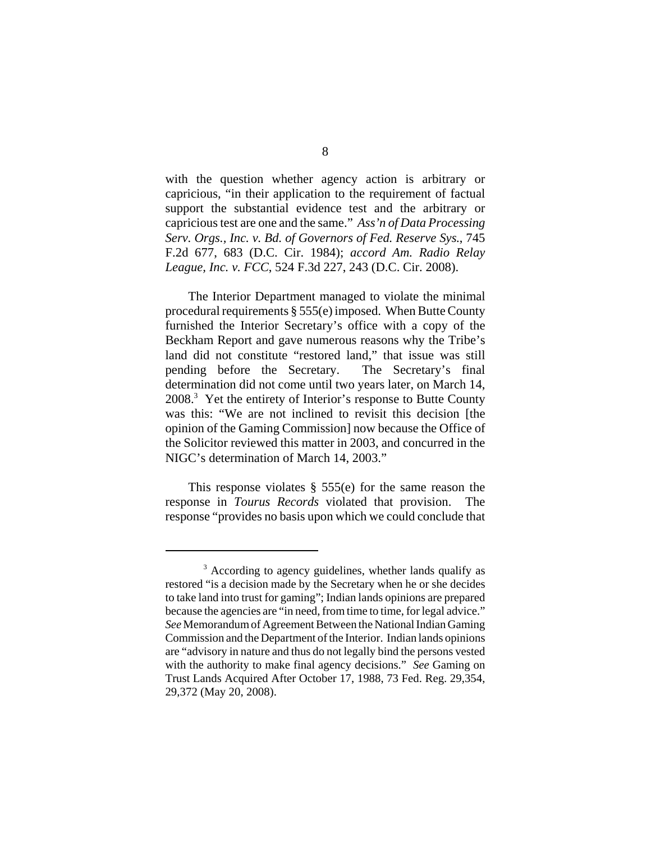with the question whether agency action is arbitrary or capricious, "in their application to the requirement of factual support the substantial evidence test and the arbitrary or capricious test are one and the same." *Ass'n of Data Processing Serv. Orgs., Inc. v. Bd. of Governors of Fed. Reserve Sys.*, 745 F.2d 677, 683 (D.C. Cir. 1984); *accord Am. Radio Relay League, Inc. v. FCC*, 524 F.3d 227, 243 (D.C. Cir. 2008).

The Interior Department managed to violate the minimal procedural requirements § 555(e) imposed. When Butte County furnished the Interior Secretary's office with a copy of the Beckham Report and gave numerous reasons why the Tribe's land did not constitute "restored land," that issue was still pending before the Secretary. The Secretary's final determination did not come until two years later, on March 14, 2008.<sup>3</sup> Yet the entirety of Interior's response to Butte County was this: "We are not inclined to revisit this decision [the opinion of the Gaming Commission] now because the Office of the Solicitor reviewed this matter in 2003, and concurred in the NIGC's determination of March 14, 2003."

This response violates § 555(e) for the same reason the response in *Tourus Records* violated that provision. The response "provides no basis upon which we could conclude that

<sup>&</sup>lt;sup>3</sup> According to agency guidelines, whether lands qualify as restored "is a decision made by the Secretary when he or she decides to take land into trust for gaming"; Indian lands opinions are prepared because the agencies are "in need, from time to time, for legal advice." *See* Memorandum of Agreement Between the National Indian Gaming Commission and the Department of the Interior. Indian lands opinions are "advisory in nature and thus do not legally bind the persons vested with the authority to make final agency decisions." *See* Gaming on Trust Lands Acquired After October 17, 1988, 73 Fed. Reg. 29,354, 29,372 (May 20, 2008).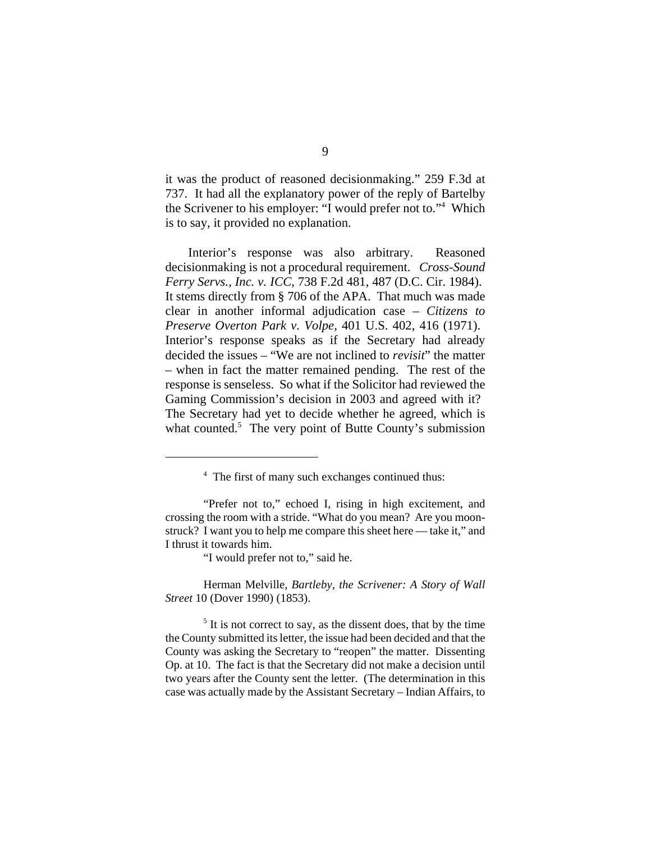it was the product of reasoned decisionmaking." 259 F.3d at 737. It had all the explanatory power of the reply of Bartelby the Scrivener to his employer: "I would prefer not to."4 Which is to say, it provided no explanation.

Interior's response was also arbitrary. Reasoned decisionmaking is not a procedural requirement. *Cross-Sound Ferry Servs., Inc. v. ICC*, 738 F.2d 481, 487 (D.C. Cir. 1984). It stems directly from § 706 of the APA. That much was made clear in another informal adjudication case – *Citizens to Preserve Overton Park v. Volpe*, 401 U.S. 402, 416 (1971). Interior's response speaks as if the Secretary had already decided the issues – "We are not inclined to *revisit*" the matter – when in fact the matter remained pending. The rest of the response is senseless. So what if the Solicitor had reviewed the Gaming Commission's decision in 2003 and agreed with it? The Secretary had yet to decide whether he agreed, which is what counted.<sup>5</sup> The very point of Butte County's submission

"I would prefer not to," said he.

Herman Melville, *Bartleby, the Scrivener: A Story of Wall Street* 10 (Dover 1990) (1853).

<sup>5</sup> It is not correct to say, as the dissent does, that by the time the County submitted its letter, the issue had been decided and that the County was asking the Secretary to "reopen" the matter. Dissenting Op. at 10. The fact is that the Secretary did not make a decision until two years after the County sent the letter. (The determination in this case was actually made by the Assistant Secretary – Indian Affairs, to

<sup>&</sup>lt;sup>4</sup> The first of many such exchanges continued thus:

<sup>&</sup>quot;Prefer not to," echoed I, rising in high excitement, and crossing the room with a stride. "What do you mean? Are you moonstruck? I want you to help me compare this sheet here — take it," and I thrust it towards him.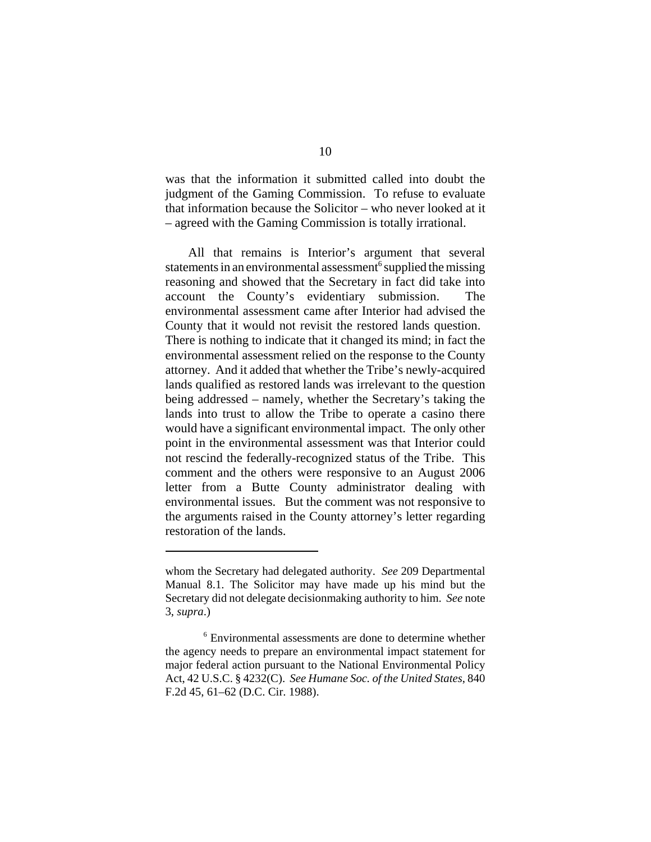was that the information it submitted called into doubt the judgment of the Gaming Commission. To refuse to evaluate that information because the Solicitor – who never looked at it – agreed with the Gaming Commission is totally irrational.

All that remains is Interior's argument that several statements in an environmental assessment<sup>6</sup> supplied the missing reasoning and showed that the Secretary in fact did take into account the County's evidentiary submission. The environmental assessment came after Interior had advised the County that it would not revisit the restored lands question. There is nothing to indicate that it changed its mind; in fact the environmental assessment relied on the response to the County attorney. And it added that whether the Tribe's newly-acquired lands qualified as restored lands was irrelevant to the question being addressed – namely, whether the Secretary's taking the lands into trust to allow the Tribe to operate a casino there would have a significant environmental impact. The only other point in the environmental assessment was that Interior could not rescind the federally-recognized status of the Tribe. This comment and the others were responsive to an August 2006 letter from a Butte County administrator dealing with environmental issues. But the comment was not responsive to the arguments raised in the County attorney's letter regarding restoration of the lands.

whom the Secretary had delegated authority. *See* 209 Departmental Manual 8.1. The Solicitor may have made up his mind but the Secretary did not delegate decisionmaking authority to him. *See* note 3, *supra*.)

<sup>6</sup> Environmental assessments are done to determine whether the agency needs to prepare an environmental impact statement for major federal action pursuant to the National Environmental Policy Act, 42 U.S.C. § 4232(C). *See Humane Soc. of the United States*, 840 F.2d 45, 61–62 (D.C. Cir. 1988).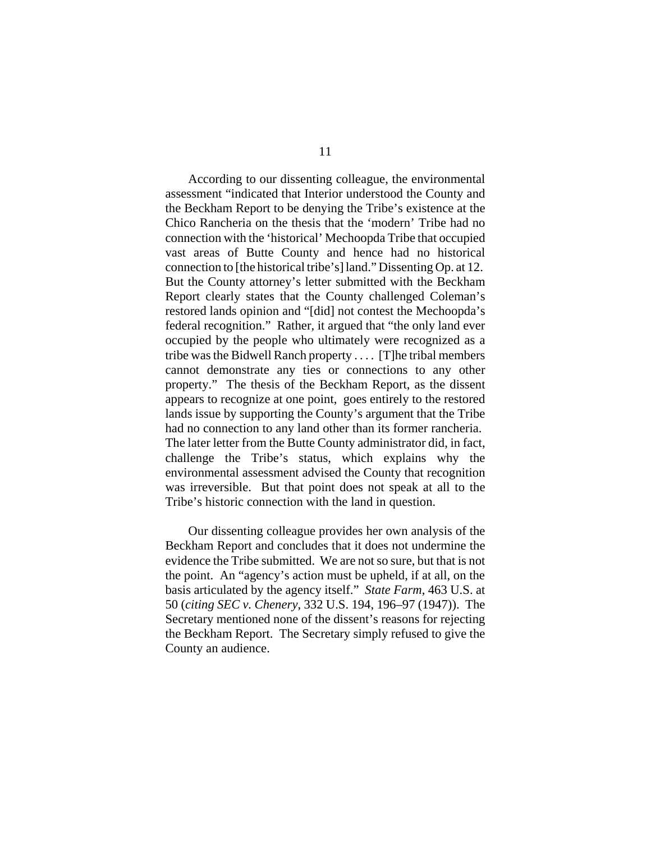According to our dissenting colleague, the environmental assessment "indicated that Interior understood the County and the Beckham Report to be denying the Tribe's existence at the Chico Rancheria on the thesis that the 'modern' Tribe had no connection with the 'historical' Mechoopda Tribe that occupied vast areas of Butte County and hence had no historical connection to [the historical tribe's] land." Dissenting Op. at 12. But the County attorney's letter submitted with the Beckham Report clearly states that the County challenged Coleman's restored lands opinion and "[did] not contest the Mechoopda's federal recognition." Rather, it argued that "the only land ever occupied by the people who ultimately were recognized as a tribe was the Bidwell Ranch property . . . . [T]he tribal members cannot demonstrate any ties or connections to any other property." The thesis of the Beckham Report, as the dissent appears to recognize at one point, goes entirely to the restored lands issue by supporting the County's argument that the Tribe had no connection to any land other than its former rancheria. The later letter from the Butte County administrator did, in fact, challenge the Tribe's status, which explains why the environmental assessment advised the County that recognition was irreversible. But that point does not speak at all to the Tribe's historic connection with the land in question.

Our dissenting colleague provides her own analysis of the Beckham Report and concludes that it does not undermine the evidence the Tribe submitted. We are not so sure, but that is not the point. An "agency's action must be upheld, if at all, on the basis articulated by the agency itself." *State Farm*, 463 U.S. at 50 (*citing SEC v. Chenery*, 332 U.S. 194, 196–97 (1947)). The Secretary mentioned none of the dissent's reasons for rejecting the Beckham Report. The Secretary simply refused to give the County an audience.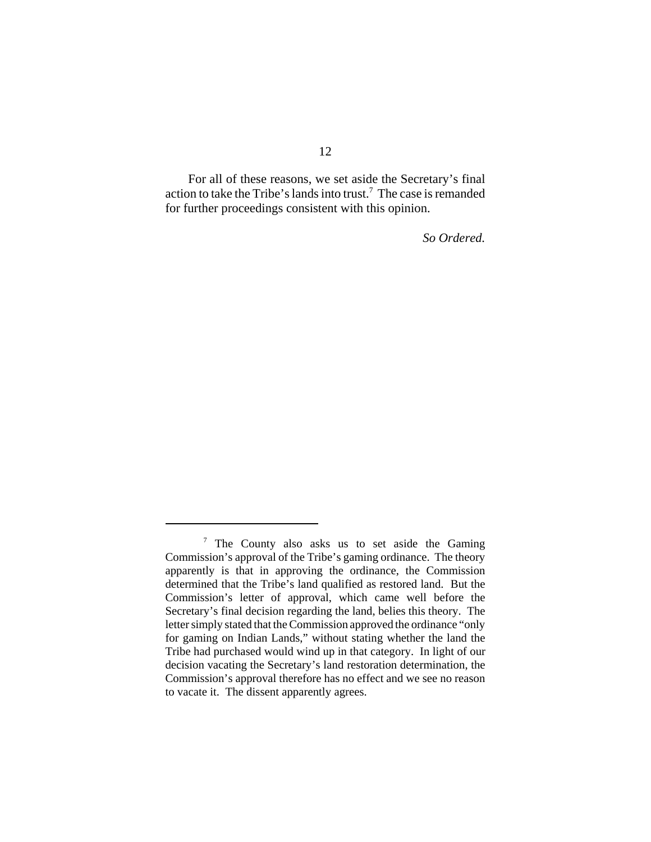For all of these reasons, we set aside the Secretary's final action to take the Tribe's lands into trust.<sup>7</sup> The case is remanded for further proceedings consistent with this opinion.

*So Ordered.*

 $7$  The County also asks us to set aside the Gaming Commission's approval of the Tribe's gaming ordinance. The theory apparently is that in approving the ordinance, the Commission determined that the Tribe's land qualified as restored land. But the Commission's letter of approval, which came well before the Secretary's final decision regarding the land, belies this theory. The letter simply stated that the Commission approved the ordinance "only for gaming on Indian Lands," without stating whether the land the Tribe had purchased would wind up in that category. In light of our decision vacating the Secretary's land restoration determination, the Commission's approval therefore has no effect and we see no reason to vacate it. The dissent apparently agrees.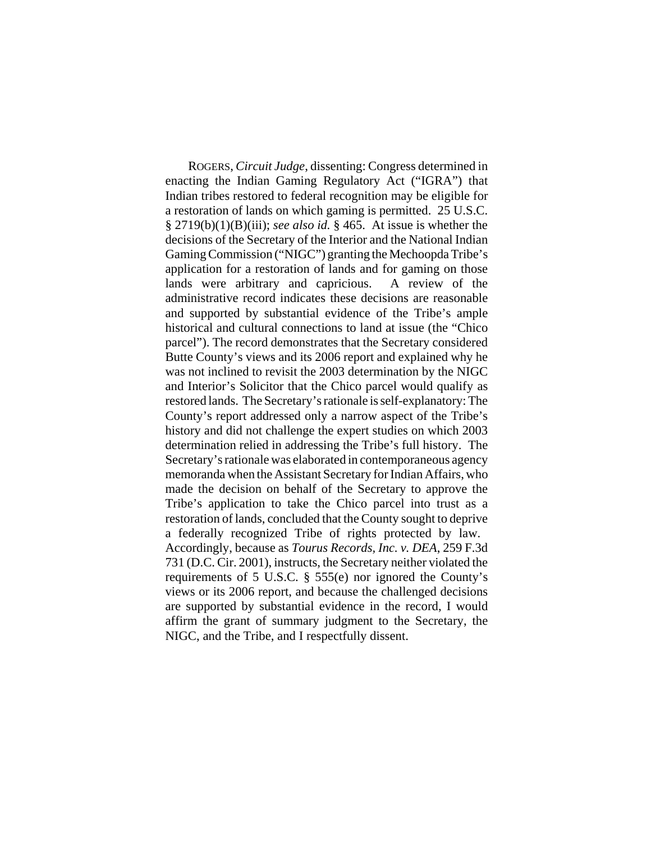ROGERS, *Circuit Judge*, dissenting: Congress determined in enacting the Indian Gaming Regulatory Act ("IGRA") that Indian tribes restored to federal recognition may be eligible for a restoration of lands on which gaming is permitted. 25 U.S.C. § 2719(b)(1)(B)(iii); *see also id.* § 465. At issue is whether the decisions of the Secretary of the Interior and the National Indian Gaming Commission ("NIGC") granting the Mechoopda Tribe's application for a restoration of lands and for gaming on those lands were arbitrary and capricious. A review of the administrative record indicates these decisions are reasonable and supported by substantial evidence of the Tribe's ample historical and cultural connections to land at issue (the "Chico parcel"). The record demonstrates that the Secretary considered Butte County's views and its 2006 report and explained why he was not inclined to revisit the 2003 determination by the NIGC and Interior's Solicitor that the Chico parcel would qualify as restored lands. The Secretary's rationale is self-explanatory: The County's report addressed only a narrow aspect of the Tribe's history and did not challenge the expert studies on which 2003 determination relied in addressing the Tribe's full history. The Secretary's rationale was elaborated in contemporaneous agency memoranda when the Assistant Secretary for Indian Affairs, who made the decision on behalf of the Secretary to approve the Tribe's application to take the Chico parcel into trust as a restoration of lands, concluded that the County sought to deprive a federally recognized Tribe of rights protected by law. Accordingly, because as *Tourus Records, Inc. v. DEA*, 259 F.3d 731 (D.C. Cir. 2001), instructs, the Secretary neither violated the requirements of 5 U.S.C. § 555(e) nor ignored the County's views or its 2006 report, and because the challenged decisions are supported by substantial evidence in the record, I would affirm the grant of summary judgment to the Secretary, the NIGC, and the Tribe, and I respectfully dissent.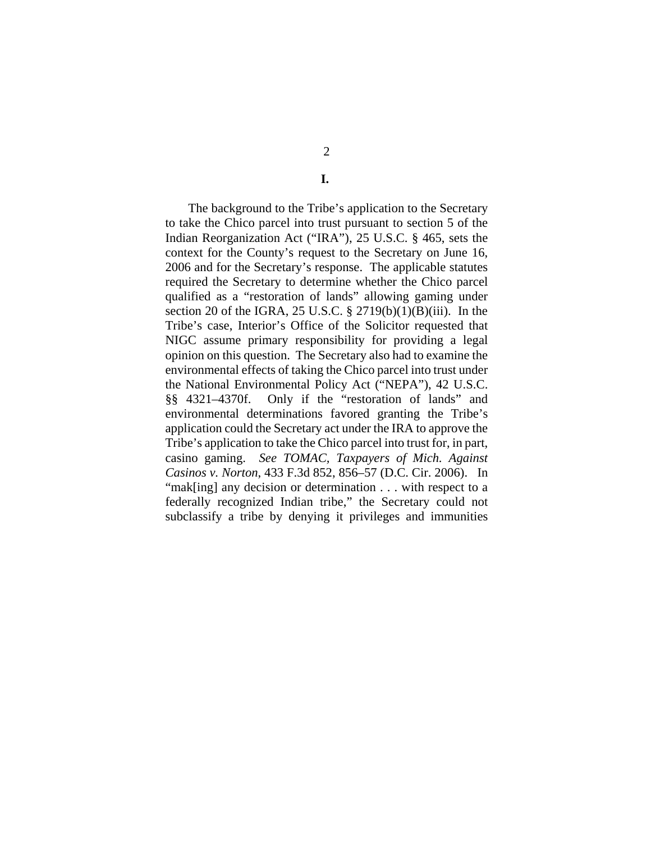2

**I.** 

The background to the Tribe's application to the Secretary to take the Chico parcel into trust pursuant to section 5 of the Indian Reorganization Act ("IRA"), 25 U.S.C. § 465, sets the context for the County's request to the Secretary on June 16, 2006 and for the Secretary's response. The applicable statutes required the Secretary to determine whether the Chico parcel qualified as a "restoration of lands" allowing gaming under section 20 of the IGRA, 25 U.S.C. § 2719(b)(1)(B)(iii). In the Tribe's case, Interior's Office of the Solicitor requested that NIGC assume primary responsibility for providing a legal opinion on this question. The Secretary also had to examine the environmental effects of taking the Chico parcel into trust under the National Environmental Policy Act ("NEPA"), 42 U.S.C. §§ 4321–4370f. Only if the "restoration of lands" and environmental determinations favored granting the Tribe's application could the Secretary act under the IRA to approve the Tribe's application to take the Chico parcel into trust for, in part, casino gaming. *See TOMAC, Taxpayers of Mich. Against Casinos v. Norton*, 433 F.3d 852, 856–57 (D.C. Cir. 2006). In "mak[ing] any decision or determination . . . with respect to a federally recognized Indian tribe," the Secretary could not subclassify a tribe by denying it privileges and immunities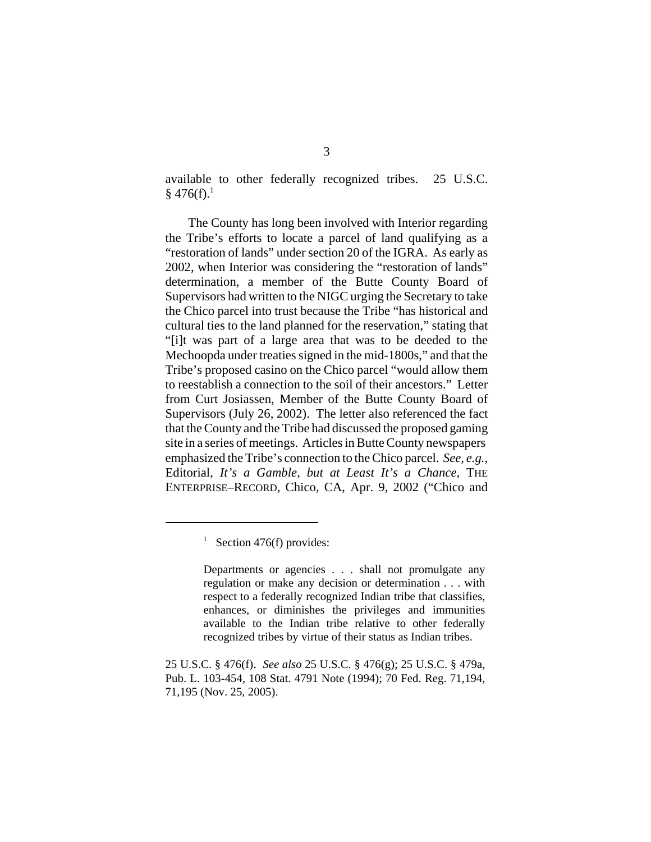available to other federally recognized tribes. 25 U.S.C.  $§$  476(f).<sup>1</sup>

The County has long been involved with Interior regarding the Tribe's efforts to locate a parcel of land qualifying as a "restoration of lands" under section 20 of the IGRA. As early as 2002, when Interior was considering the "restoration of lands" determination, a member of the Butte County Board of Supervisors had written to the NIGC urging the Secretary to take the Chico parcel into trust because the Tribe "has historical and cultural ties to the land planned for the reservation," stating that "[i]t was part of a large area that was to be deeded to the Mechoopda under treaties signed in the mid-1800s," and that the Tribe's proposed casino on the Chico parcel "would allow them to reestablish a connection to the soil of their ancestors." Letter from Curt Josiassen, Member of the Butte County Board of Supervisors (July 26, 2002). The letter also referenced the fact that the County and the Tribe had discussed the proposed gaming site in a series of meetings. Articles in Butte County newspapers emphasized the Tribe's connection to the Chico parcel. *See, e.g.*, Editorial, *It's a Gamble, but at Least It's a Chance*, THE ENTERPRISE–RECORD, Chico, CA, Apr. 9, 2002 ("Chico and

<sup>&</sup>lt;sup>1</sup> Section 476(f) provides:

Departments or agencies . . . shall not promulgate any regulation or make any decision or determination . . . with respect to a federally recognized Indian tribe that classifies, enhances, or diminishes the privileges and immunities available to the Indian tribe relative to other federally recognized tribes by virtue of their status as Indian tribes.

<sup>25</sup> U.S.C. § 476(f). *See also* 25 U.S.C. § 476(g); 25 U.S.C. § 479a, Pub. L. 103-454, 108 Stat. 4791 Note (1994); 70 Fed. Reg. 71,194, 71,195 (Nov. 25, 2005).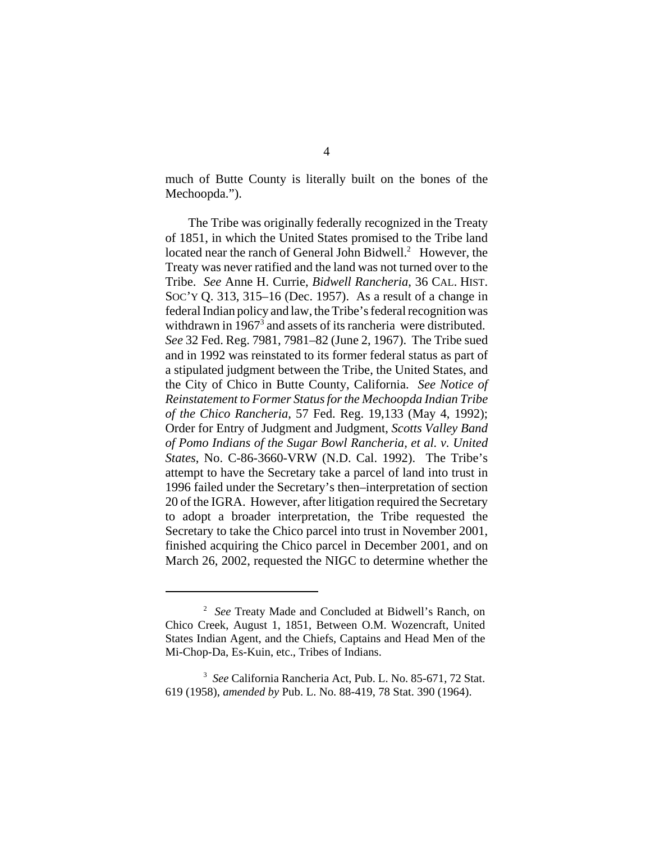much of Butte County is literally built on the bones of the Mechoopda.").

The Tribe was originally federally recognized in the Treaty of 1851, in which the United States promised to the Tribe land located near the ranch of General John Bidwell.<sup>2</sup> However, the Treaty was never ratified and the land was not turned over to the Tribe. *See* Anne H. Currie, *Bidwell Rancheria*, 36 CAL. HIST. SOC'Y Q. 313, 315–16 (Dec. 1957). As a result of a change in federal Indian policy and law, the Tribe's federal recognition was withdrawn in  $1967<sup>3</sup>$  and assets of its rancheria were distributed. *See* 32 Fed. Reg. 7981, 7981–82 (June 2, 1967). The Tribe sued and in 1992 was reinstated to its former federal status as part of a stipulated judgment between the Tribe, the United States, and the City of Chico in Butte County, California. *See Notice of Reinstatement to Former Status for the Mechoopda Indian Tribe of the Chico Rancheria*, 57 Fed. Reg. 19,133 (May 4, 1992); Order for Entry of Judgment and Judgment, *Scotts Valley Band of Pomo Indians of the Sugar Bowl Rancheria, et al. v. United States*, No. C-86-3660-VRW (N.D. Cal. 1992). The Tribe's attempt to have the Secretary take a parcel of land into trust in 1996 failed under the Secretary's then–interpretation of section 20 of the IGRA. However, after litigation required the Secretary to adopt a broader interpretation, the Tribe requested the Secretary to take the Chico parcel into trust in November 2001, finished acquiring the Chico parcel in December 2001, and on March 26, 2002, requested the NIGC to determine whether the

<sup>2</sup> *See* Treaty Made and Concluded at Bidwell's Ranch, on Chico Creek, August 1, 1851, Between O.M. Wozencraft, United States Indian Agent, and the Chiefs, Captains and Head Men of the Mi-Chop-Da, Es-Kuin, etc., Tribes of Indians.

<sup>3</sup> *See* California Rancheria Act, Pub. L. No. 85-671, 72 Stat. 619 (1958), *amended by* Pub. L. No. 88-419, 78 Stat. 390 (1964).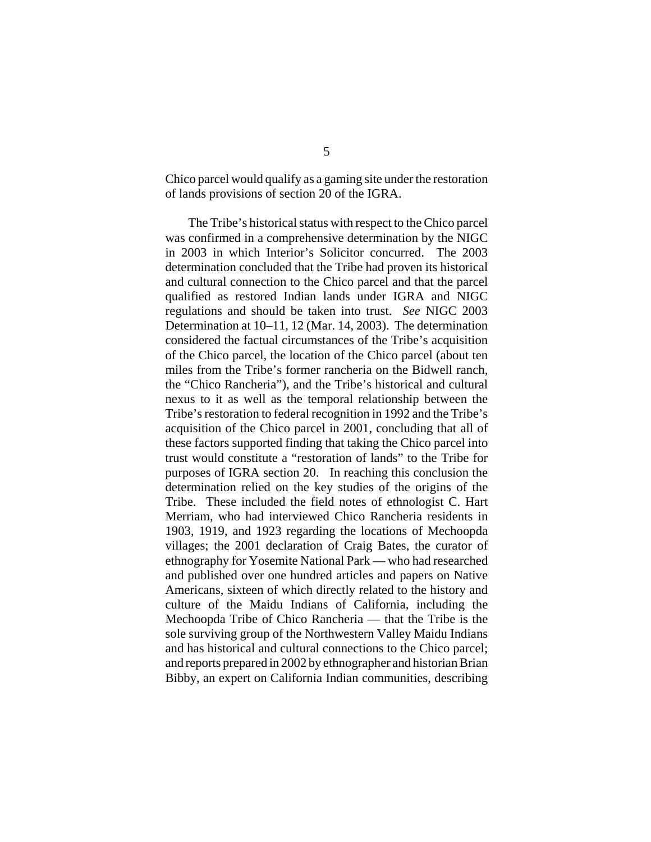Chico parcel would qualify as a gaming site under the restoration of lands provisions of section 20 of the IGRA.

The Tribe's historical status with respect to the Chico parcel was confirmed in a comprehensive determination by the NIGC in 2003 in which Interior's Solicitor concurred. The 2003 determination concluded that the Tribe had proven its historical and cultural connection to the Chico parcel and that the parcel qualified as restored Indian lands under IGRA and NIGC regulations and should be taken into trust. *See* NIGC 2003 Determination at 10–11, 12 (Mar. 14, 2003). The determination considered the factual circumstances of the Tribe's acquisition of the Chico parcel, the location of the Chico parcel (about ten miles from the Tribe's former rancheria on the Bidwell ranch, the "Chico Rancheria"), and the Tribe's historical and cultural nexus to it as well as the temporal relationship between the Tribe's restoration to federal recognition in 1992 and the Tribe's acquisition of the Chico parcel in 2001, concluding that all of these factors supported finding that taking the Chico parcel into trust would constitute a "restoration of lands" to the Tribe for purposes of IGRA section 20. In reaching this conclusion the determination relied on the key studies of the origins of the Tribe. These included the field notes of ethnologist C. Hart Merriam, who had interviewed Chico Rancheria residents in 1903, 1919, and 1923 regarding the locations of Mechoopda villages; the 2001 declaration of Craig Bates, the curator of ethnography for Yosemite National Park — who had researched and published over one hundred articles and papers on Native Americans, sixteen of which directly related to the history and culture of the Maidu Indians of California, including the Mechoopda Tribe of Chico Rancheria — that the Tribe is the sole surviving group of the Northwestern Valley Maidu Indians and has historical and cultural connections to the Chico parcel; and reports prepared in 2002 by ethnographer and historian Brian Bibby, an expert on California Indian communities, describing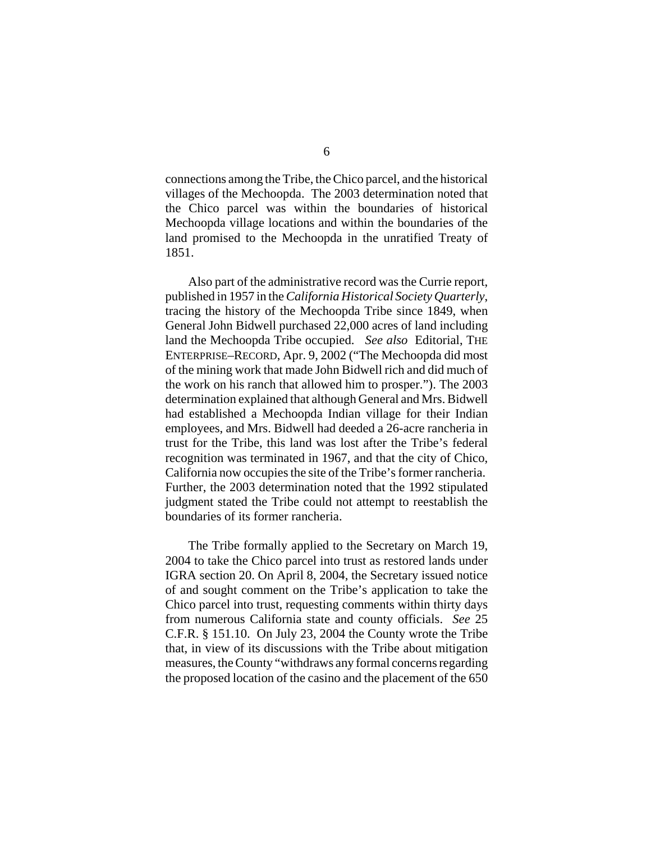connections among the Tribe, the Chico parcel, and the historical villages of the Mechoopda. The 2003 determination noted that the Chico parcel was within the boundaries of historical Mechoopda village locations and within the boundaries of the land promised to the Mechoopda in the unratified Treaty of 1851.

Also part of the administrative record was the Currie report, published in 1957 in the *California Historical Society Quarterly*, tracing the history of the Mechoopda Tribe since 1849, when General John Bidwell purchased 22,000 acres of land including land the Mechoopda Tribe occupied. *See also* Editorial, THE ENTERPRISE–RECORD, Apr. 9, 2002 ("The Mechoopda did most of the mining work that made John Bidwell rich and did much of the work on his ranch that allowed him to prosper."). The 2003 determination explained that although General and Mrs. Bidwell had established a Mechoopda Indian village for their Indian employees, and Mrs. Bidwell had deeded a 26-acre rancheria in trust for the Tribe, this land was lost after the Tribe's federal recognition was terminated in 1967, and that the city of Chico, California now occupies the site of the Tribe's former rancheria. Further, the 2003 determination noted that the 1992 stipulated judgment stated the Tribe could not attempt to reestablish the boundaries of its former rancheria.

The Tribe formally applied to the Secretary on March 19, 2004 to take the Chico parcel into trust as restored lands under IGRA section 20. On April 8, 2004, the Secretary issued notice of and sought comment on the Tribe's application to take the Chico parcel into trust, requesting comments within thirty days from numerous California state and county officials. *See* 25 C.F.R. § 151.10. On July 23, 2004 the County wrote the Tribe that, in view of its discussions with the Tribe about mitigation measures, the County "withdraws any formal concerns regarding the proposed location of the casino and the placement of the 650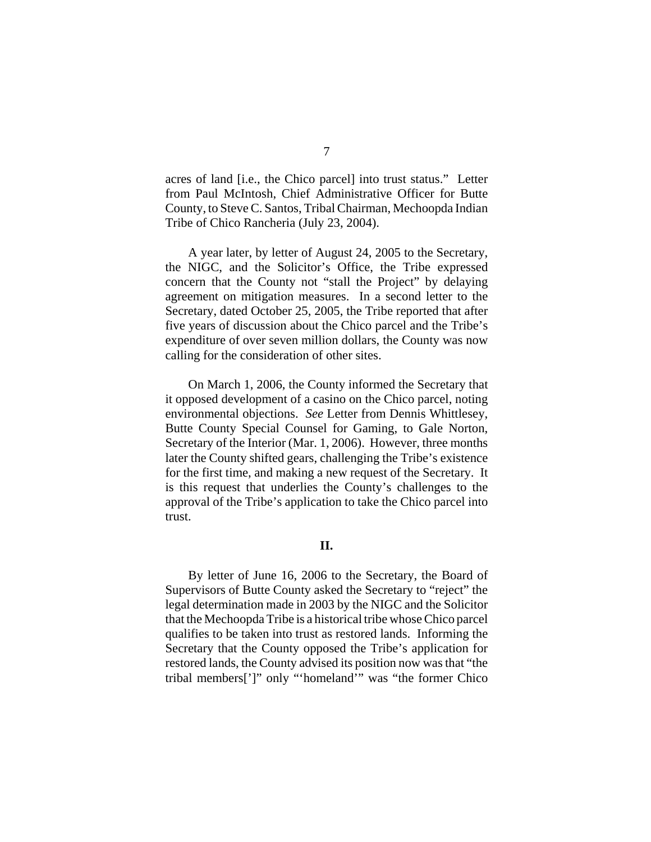acres of land [i.e., the Chico parcel] into trust status." Letter from Paul McIntosh, Chief Administrative Officer for Butte County, to Steve C. Santos, Tribal Chairman, Mechoopda Indian Tribe of Chico Rancheria (July 23, 2004).

A year later, by letter of August 24, 2005 to the Secretary, the NIGC, and the Solicitor's Office, the Tribe expressed concern that the County not "stall the Project" by delaying agreement on mitigation measures. In a second letter to the Secretary, dated October 25, 2005, the Tribe reported that after five years of discussion about the Chico parcel and the Tribe's expenditure of over seven million dollars, the County was now calling for the consideration of other sites.

On March 1, 2006, the County informed the Secretary that it opposed development of a casino on the Chico parcel, noting environmental objections. *See* Letter from Dennis Whittlesey, Butte County Special Counsel for Gaming, to Gale Norton, Secretary of the Interior (Mar. 1, 2006). However, three months later the County shifted gears, challenging the Tribe's existence for the first time, and making a new request of the Secretary. It is this request that underlies the County's challenges to the approval of the Tribe's application to take the Chico parcel into trust.

## **II.**

By letter of June 16, 2006 to the Secretary, the Board of Supervisors of Butte County asked the Secretary to "reject" the legal determination made in 2003 by the NIGC and the Solicitor that the Mechoopda Tribe is a historical tribe whose Chico parcel qualifies to be taken into trust as restored lands. Informing the Secretary that the County opposed the Tribe's application for restored lands, the County advised its position now was that "the tribal members[']" only "'homeland'" was "the former Chico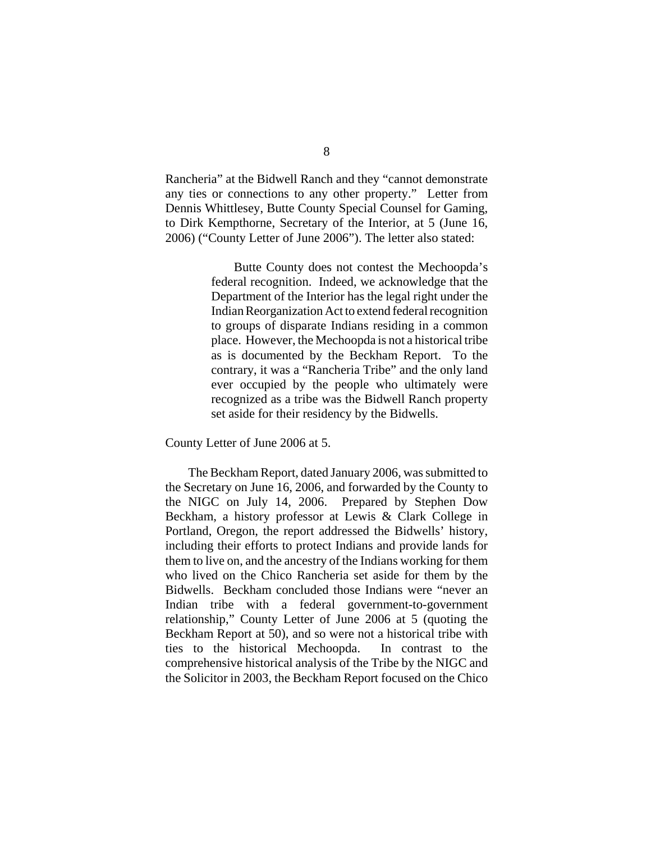Rancheria" at the Bidwell Ranch and they "cannot demonstrate any ties or connections to any other property." Letter from Dennis Whittlesey, Butte County Special Counsel for Gaming, to Dirk Kempthorne, Secretary of the Interior, at 5 (June 16, 2006) ("County Letter of June 2006"). The letter also stated:

> Butte County does not contest the Mechoopda's federal recognition. Indeed, we acknowledge that the Department of the Interior has the legal right under the Indian Reorganization Act to extend federal recognition to groups of disparate Indians residing in a common place. However, the Mechoopda is not a historical tribe as is documented by the Beckham Report. To the contrary, it was a "Rancheria Tribe" and the only land ever occupied by the people who ultimately were recognized as a tribe was the Bidwell Ranch property set aside for their residency by the Bidwells.

County Letter of June 2006 at 5.

The Beckham Report, dated January 2006, was submitted to the Secretary on June 16, 2006, and forwarded by the County to the NIGC on July 14, 2006. Prepared by Stephen Dow Beckham, a history professor at Lewis & Clark College in Portland, Oregon, the report addressed the Bidwells' history, including their efforts to protect Indians and provide lands for them to live on, and the ancestry of the Indians working for them who lived on the Chico Rancheria set aside for them by the Bidwells. Beckham concluded those Indians were "never an Indian tribe with a federal government-to-government relationship," County Letter of June 2006 at 5 (quoting the Beckham Report at 50), and so were not a historical tribe with ties to the historical Mechoopda. In contrast to the comprehensive historical analysis of the Tribe by the NIGC and the Solicitor in 2003, the Beckham Report focused on the Chico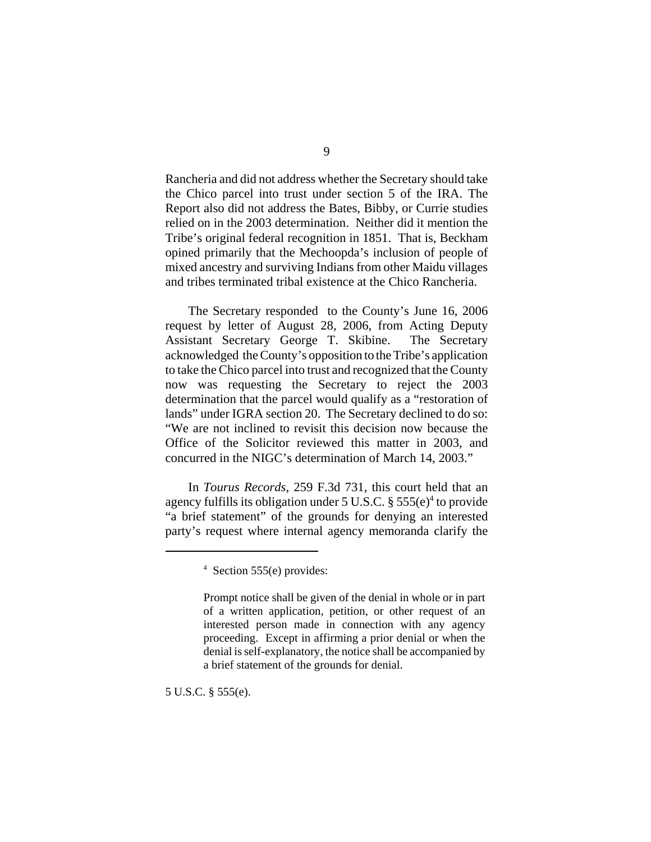Rancheria and did not address whether the Secretary should take the Chico parcel into trust under section 5 of the IRA. The Report also did not address the Bates, Bibby, or Currie studies relied on in the 2003 determination. Neither did it mention the Tribe's original federal recognition in 1851. That is, Beckham opined primarily that the Mechoopda's inclusion of people of mixed ancestry and surviving Indians from other Maidu villages and tribes terminated tribal existence at the Chico Rancheria.

The Secretary responded to the County's June 16, 2006 request by letter of August 28, 2006, from Acting Deputy Assistant Secretary George T. Skibine. The Secretary acknowledged the County's opposition to the Tribe's application to take the Chico parcel into trust and recognized that the County now was requesting the Secretary to reject the 2003 determination that the parcel would qualify as a "restoration of lands" under IGRA section 20. The Secretary declined to do so: "We are not inclined to revisit this decision now because the Office of the Solicitor reviewed this matter in 2003, and concurred in the NIGC's determination of March 14, 2003."

In *Tourus Records,* 259 F.3d 731, this court held that an agency fulfills its obligation under 5 U.S.C.  $\S 555(e)^4$  to provide "a brief statement" of the grounds for denying an interested party's request where internal agency memoranda clarify the

5 U.S.C. § 555(e).

<sup>4</sup> Section 555(e) provides:

Prompt notice shall be given of the denial in whole or in part of a written application, petition, or other request of an interested person made in connection with any agency proceeding. Except in affirming a prior denial or when the denial is self-explanatory, the notice shall be accompanied by a brief statement of the grounds for denial.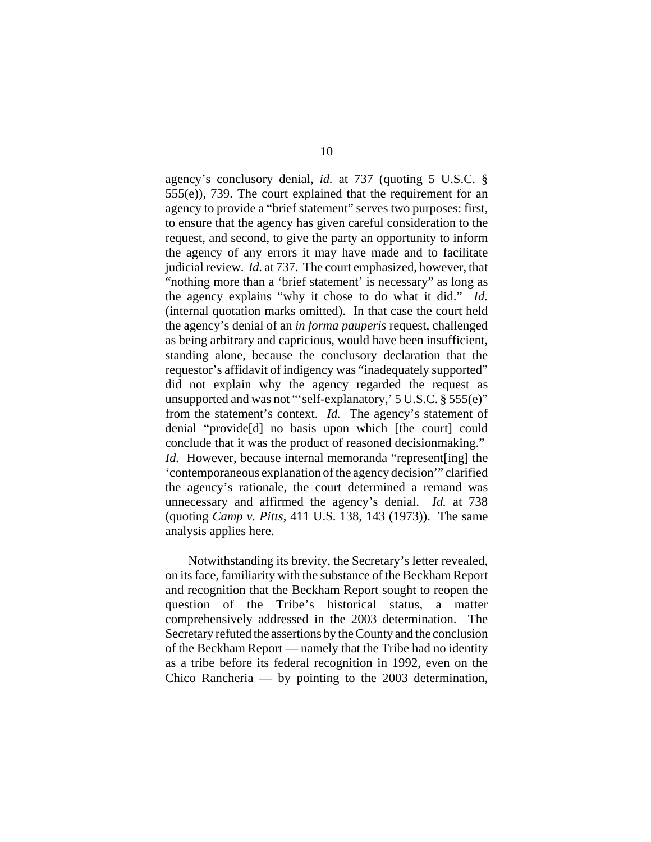agency's conclusory denial, *id.* at 737 (quoting 5 U.S.C. § 555(e)), 739. The court explained that the requirement for an agency to provide a "brief statement" serves two purposes: first, to ensure that the agency has given careful consideration to the request, and second, to give the party an opportunity to inform the agency of any errors it may have made and to facilitate judicial review. *Id.* at 737. The court emphasized, however, that "nothing more than a 'brief statement' is necessary" as long as the agency explains "why it chose to do what it did." *Id.* (internal quotation marks omitted). In that case the court held the agency's denial of an *in forma pauperis* request, challenged as being arbitrary and capricious, would have been insufficient, standing alone, because the conclusory declaration that the requestor's affidavit of indigency was "inadequately supported" did not explain why the agency regarded the request as unsupported and was not "'self-explanatory,' 5 U.S.C. § 555(e)" from the statement's context. *Id.* The agency's statement of denial "provide[d] no basis upon which [the court] could conclude that it was the product of reasoned decisionmaking." *Id.* However, because internal memoranda "represent [ing] the 'contemporaneous explanation of the agency decision'" clarified the agency's rationale, the court determined a remand was unnecessary and affirmed the agency's denial. *Id.* at 738 (quoting *Camp v. Pitts*, 411 U.S. 138, 143 (1973)). The same analysis applies here.

Notwithstanding its brevity, the Secretary's letter revealed, on its face, familiarity with the substance of the Beckham Report and recognition that the Beckham Report sought to reopen the question of the Tribe's historical status, a matter comprehensively addressed in the 2003 determination. The Secretary refuted the assertions by the County and the conclusion of the Beckham Report — namely that the Tribe had no identity as a tribe before its federal recognition in 1992, even on the Chico Rancheria — by pointing to the 2003 determination,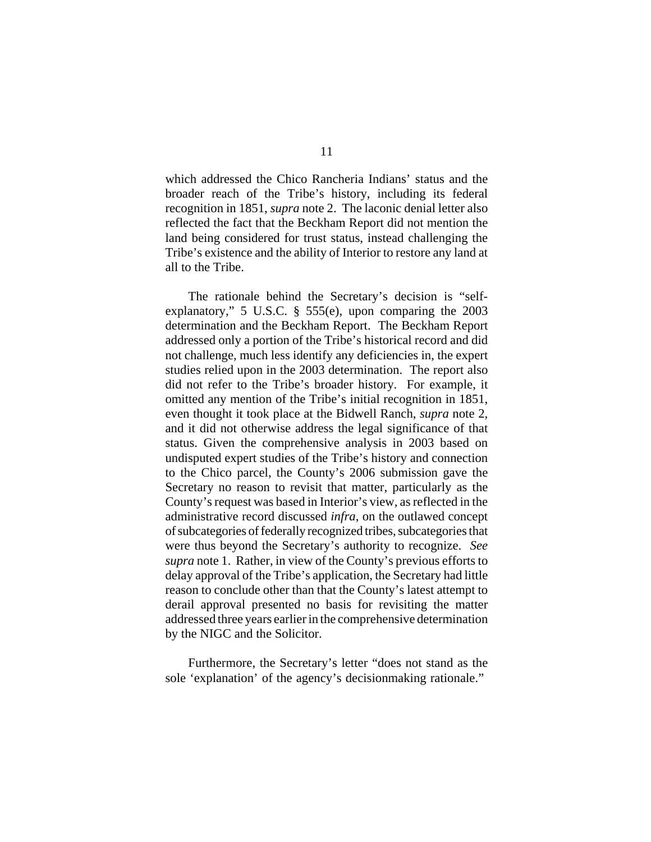which addressed the Chico Rancheria Indians' status and the broader reach of the Tribe's history, including its federal recognition in 1851, *supra* note 2. The laconic denial letter also reflected the fact that the Beckham Report did not mention the land being considered for trust status, instead challenging the Tribe's existence and the ability of Interior to restore any land at all to the Tribe.

The rationale behind the Secretary's decision is "selfexplanatory," 5 U.S.C. § 555(e), upon comparing the 2003 determination and the Beckham Report. The Beckham Report addressed only a portion of the Tribe's historical record and did not challenge, much less identify any deficiencies in, the expert studies relied upon in the 2003 determination. The report also did not refer to the Tribe's broader history. For example, it omitted any mention of the Tribe's initial recognition in 1851, even thought it took place at the Bidwell Ranch, *supra* note 2, and it did not otherwise address the legal significance of that status. Given the comprehensive analysis in 2003 based on undisputed expert studies of the Tribe's history and connection to the Chico parcel, the County's 2006 submission gave the Secretary no reason to revisit that matter, particularly as the County's request was based in Interior's view, as reflected in the administrative record discussed *infra*, on the outlawed concept of subcategories of federally recognized tribes, subcategories that were thus beyond the Secretary's authority to recognize. *See supra* note 1. Rather, in view of the County's previous efforts to delay approval of the Tribe's application, the Secretary had little reason to conclude other than that the County's latest attempt to derail approval presented no basis for revisiting the matter addressed three years earlier in the comprehensive determination by the NIGC and the Solicitor.

Furthermore, the Secretary's letter "does not stand as the sole 'explanation' of the agency's decisionmaking rationale."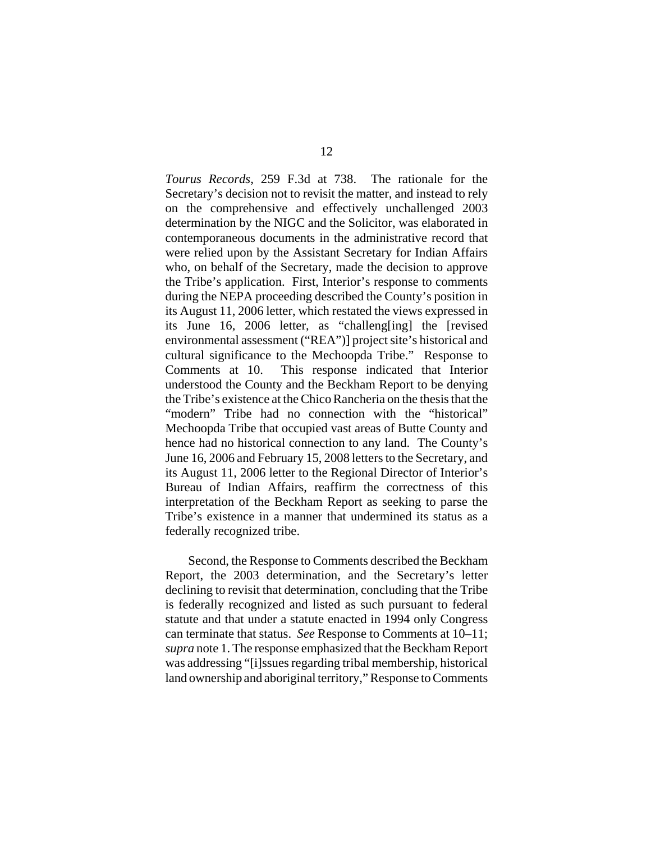*Tourus Records*, 259 F.3d at 738. The rationale for the Secretary's decision not to revisit the matter, and instead to rely on the comprehensive and effectively unchallenged 2003 determination by the NIGC and the Solicitor, was elaborated in contemporaneous documents in the administrative record that were relied upon by the Assistant Secretary for Indian Affairs who, on behalf of the Secretary, made the decision to approve the Tribe's application. First, Interior's response to comments during the NEPA proceeding described the County's position in its August 11, 2006 letter, which restated the views expressed in its June 16, 2006 letter, as "challeng[ing] the [revised environmental assessment ("REA")] project site's historical and cultural significance to the Mechoopda Tribe." Response to Comments at 10. This response indicated that Interior understood the County and the Beckham Report to be denying the Tribe's existence at the Chico Rancheria on the thesis that the "modern" Tribe had no connection with the "historical" Mechoopda Tribe that occupied vast areas of Butte County and hence had no historical connection to any land. The County's June 16, 2006 and February 15, 2008 letters to the Secretary, and its August 11, 2006 letter to the Regional Director of Interior's Bureau of Indian Affairs, reaffirm the correctness of this interpretation of the Beckham Report as seeking to parse the Tribe's existence in a manner that undermined its status as a federally recognized tribe.

Second, the Response to Comments described the Beckham Report, the 2003 determination, and the Secretary's letter declining to revisit that determination, concluding that the Tribe is federally recognized and listed as such pursuant to federal statute and that under a statute enacted in 1994 only Congress can terminate that status. *See* Response to Comments at 10–11; *supra* note 1. The response emphasized that the Beckham Report was addressing "[i]ssues regarding tribal membership, historical land ownership and aboriginal territory," Response to Comments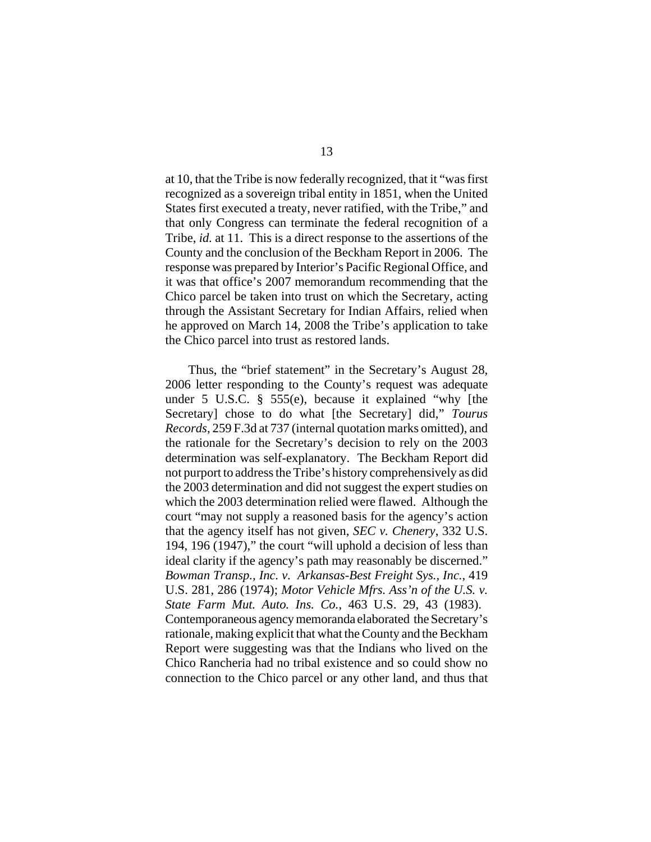at 10, that the Tribe is now federally recognized, that it "was first recognized as a sovereign tribal entity in 1851, when the United States first executed a treaty, never ratified, with the Tribe," and that only Congress can terminate the federal recognition of a Tribe, *id.* at 11. This is a direct response to the assertions of the County and the conclusion of the Beckham Report in 2006. The response was prepared by Interior's Pacific Regional Office, and it was that office's 2007 memorandum recommending that the Chico parcel be taken into trust on which the Secretary, acting through the Assistant Secretary for Indian Affairs, relied when he approved on March 14, 2008 the Tribe's application to take the Chico parcel into trust as restored lands.

Thus, the "brief statement" in the Secretary's August 28, 2006 letter responding to the County's request was adequate under 5 U.S.C. § 555(e), because it explained "why [the Secretary] chose to do what [the Secretary] did," *Tourus Records*, 259 F.3d at 737 (internal quotation marks omitted), and the rationale for the Secretary's decision to rely on the 2003 determination was self-explanatory. The Beckham Report did not purport to address the Tribe's history comprehensively as did the 2003 determination and did not suggest the expert studies on which the 2003 determination relied were flawed. Although the court "may not supply a reasoned basis for the agency's action that the agency itself has not given, *SEC v. Chenery*, 332 U.S. 194, 196 (1947)," the court "will uphold a decision of less than ideal clarity if the agency's path may reasonably be discerned." *Bowman Transp., Inc. v. Arkansas-Best Freight Sys., Inc.*, 419 U.S. 281, 286 (1974); *Motor Vehicle Mfrs. Ass'n of the U.S. v. State Farm Mut. Auto. Ins. Co.*, 463 U.S. 29, 43 (1983). Contemporaneous agency memoranda elaborated the Secretary's rationale, making explicit that what the County and the Beckham Report were suggesting was that the Indians who lived on the Chico Rancheria had no tribal existence and so could show no connection to the Chico parcel or any other land, and thus that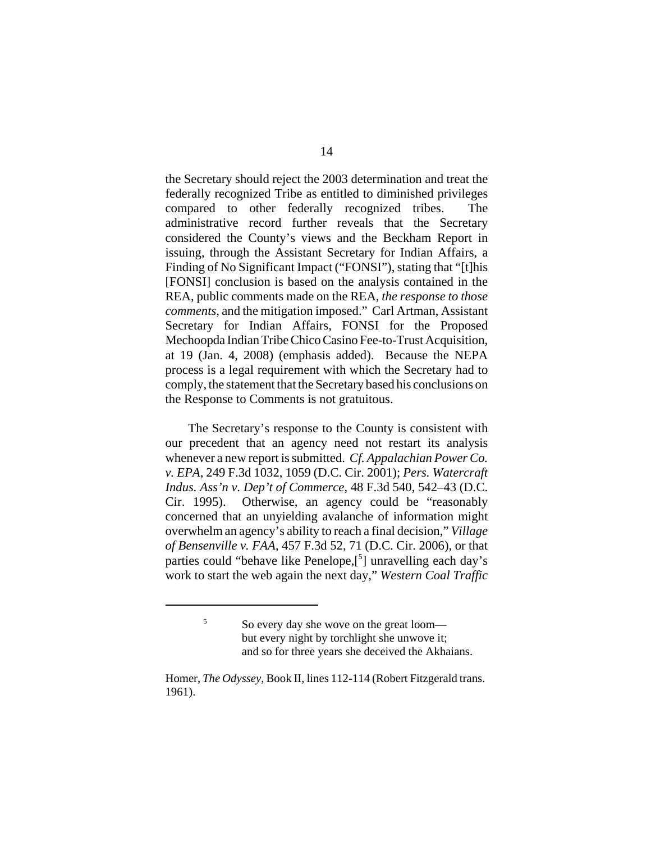the Secretary should reject the 2003 determination and treat the federally recognized Tribe as entitled to diminished privileges compared to other federally recognized tribes. The administrative record further reveals that the Secretary considered the County's views and the Beckham Report in issuing, through the Assistant Secretary for Indian Affairs, a Finding of No Significant Impact ("FONSI"), stating that "[t]his [FONSI] conclusion is based on the analysis contained in the REA, public comments made on the REA, *the response to those comments*, and the mitigation imposed." Carl Artman, Assistant Secretary for Indian Affairs, FONSI for the Proposed Mechoopda Indian Tribe Chico Casino Fee-to-Trust Acquisition, at 19 (Jan. 4, 2008) (emphasis added). Because the NEPA process is a legal requirement with which the Secretary had to comply, the statement that the Secretary based his conclusions on the Response to Comments is not gratuitous.

The Secretary's response to the County is consistent with our precedent that an agency need not restart its analysis whenever a new report is submitted. *Cf. Appalachian Power Co. v. EPA*, 249 F.3d 1032, 1059 (D.C. Cir. 2001); *Pers. Watercraft Indus. Ass'n v. Dep't of Commerce*, 48 F.3d 540, 542–43 (D.C. Cir. 1995). Otherwise, an agency could be "reasonably concerned that an unyielding avalanche of information might overwhelm an agency's ability to reach a final decision," *Village of Bensenville v. FAA*, 457 F.3d 52, 71 (D.C. Cir. 2006), or that parties could "behave like Penelope,[5] unravelling each day's work to start the web again the next day," *Western Coal Traffic*

<sup>5</sup> So every day she wove on the great loom but every night by torchlight she unwove it; and so for three years she deceived the Akhaians.

Homer, *The Odyssey*, Book II, lines 112-114 (Robert Fitzgerald trans. 1961).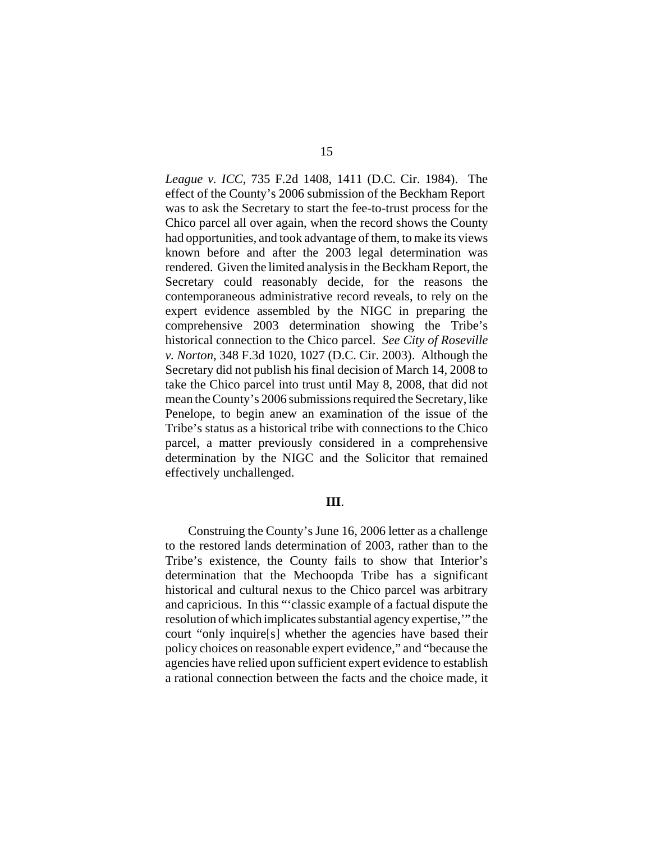*League v. ICC*, 735 F.2d 1408, 1411 (D.C. Cir. 1984). The effect of the County's 2006 submission of the Beckham Report was to ask the Secretary to start the fee-to-trust process for the Chico parcel all over again, when the record shows the County had opportunities, and took advantage of them, to make its views known before and after the 2003 legal determination was rendered. Given the limited analysis in the Beckham Report, the Secretary could reasonably decide, for the reasons the contemporaneous administrative record reveals, to rely on the expert evidence assembled by the NIGC in preparing the comprehensive 2003 determination showing the Tribe's historical connection to the Chico parcel. *See City of Roseville v. Norton*, 348 F.3d 1020, 1027 (D.C. Cir. 2003). Although the Secretary did not publish his final decision of March 14, 2008 to take the Chico parcel into trust until May 8, 2008, that did not mean the County's 2006 submissions required the Secretary, like Penelope, to begin anew an examination of the issue of the Tribe's status as a historical tribe with connections to the Chico parcel, a matter previously considered in a comprehensive determination by the NIGC and the Solicitor that remained effectively unchallenged.

## **III**.

Construing the County's June 16, 2006 letter as a challenge to the restored lands determination of 2003, rather than to the Tribe's existence, the County fails to show that Interior's determination that the Mechoopda Tribe has a significant historical and cultural nexus to the Chico parcel was arbitrary and capricious. In this "'classic example of a factual dispute the resolution of which implicates substantial agency expertise,'" the court "only inquire[s] whether the agencies have based their policy choices on reasonable expert evidence," and "because the agencies have relied upon sufficient expert evidence to establish a rational connection between the facts and the choice made, it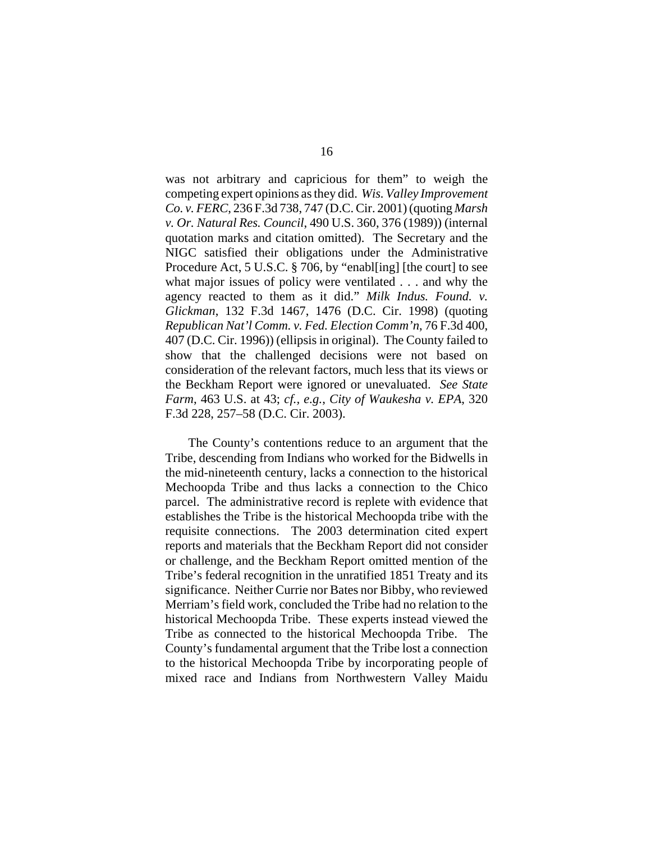was not arbitrary and capricious for them" to weigh the competing expert opinions as they did. *Wis. Valley Improvement Co. v. FERC*, 236 F.3d 738, 747 (D.C. Cir. 2001) (quoting *Marsh v. Or. Natural Res. Council*, 490 U.S. 360, 376 (1989)) (internal quotation marks and citation omitted). The Secretary and the NIGC satisfied their obligations under the Administrative Procedure Act, 5 U.S.C. § 706, by "enabl[ing] [the court] to see what major issues of policy were ventilated . . . and why the agency reacted to them as it did." *Milk Indus. Found. v. Glickman*, 132 F.3d 1467, 1476 (D.C. Cir. 1998) (quoting *Republican Nat'l Comm. v. Fed. Election Comm'n*, 76 F.3d 400, 407 (D.C. Cir. 1996)) (ellipsis in original). The County failed to show that the challenged decisions were not based on consideration of the relevant factors, much less that its views or the Beckham Report were ignored or unevaluated. *See State Farm*, 463 U.S. at 43; *cf., e.g.*, *City of Waukesha v. EPA*, 320 F.3d 228, 257–58 (D.C. Cir. 2003).

The County's contentions reduce to an argument that the Tribe, descending from Indians who worked for the Bidwells in the mid-nineteenth century, lacks a connection to the historical Mechoopda Tribe and thus lacks a connection to the Chico parcel. The administrative record is replete with evidence that establishes the Tribe is the historical Mechoopda tribe with the requisite connections. The 2003 determination cited expert reports and materials that the Beckham Report did not consider or challenge, and the Beckham Report omitted mention of the Tribe's federal recognition in the unratified 1851 Treaty and its significance. Neither Currie nor Bates nor Bibby, who reviewed Merriam's field work, concluded the Tribe had no relation to the historical Mechoopda Tribe. These experts instead viewed the Tribe as connected to the historical Mechoopda Tribe. The County's fundamental argument that the Tribe lost a connection to the historical Mechoopda Tribe by incorporating people of mixed race and Indians from Northwestern Valley Maidu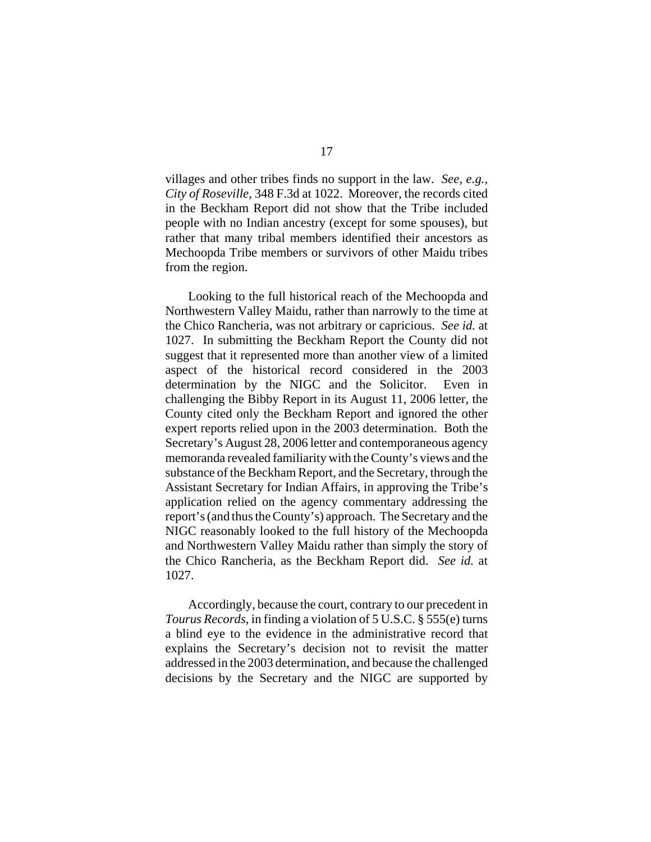villages and other tribes finds no support in the law. *See, e.g.*, *City of Roseville*, 348 F.3d at 1022. Moreover, the records cited in the Beckham Report did not show that the Tribe included people with no Indian ancestry (except for some spouses), but rather that many tribal members identified their ancestors as Mechoopda Tribe members or survivors of other Maidu tribes from the region.

Looking to the full historical reach of the Mechoopda and Northwestern Valley Maidu, rather than narrowly to the time at the Chico Rancheria, was not arbitrary or capricious. *See id.* at 1027. In submitting the Beckham Report the County did not suggest that it represented more than another view of a limited aspect of the historical record considered in the 2003 determination by the NIGC and the Solicitor. Even in challenging the Bibby Report in its August 11, 2006 letter, the County cited only the Beckham Report and ignored the other expert reports relied upon in the 2003 determination. Both the Secretary's August 28, 2006 letter and contemporaneous agency memoranda revealed familiarity with the County's views and the substance of the Beckham Report, and the Secretary, through the Assistant Secretary for Indian Affairs, in approving the Tribe's application relied on the agency commentary addressing the report's (and thus the County's) approach. The Secretary and the NIGC reasonably looked to the full history of the Mechoopda and Northwestern Valley Maidu rather than simply the story of the Chico Rancheria, as the Beckham Report did. *See id.* at 1027.

Accordingly, because the court, contrary to our precedent in *Tourus Records*, in finding a violation of 5 U.S.C. § 555(e) turns a blind eye to the evidence in the administrative record that explains the Secretary's decision not to revisit the matter addressed in the 2003 determination, and because the challenged decisions by the Secretary and the NIGC are supported by